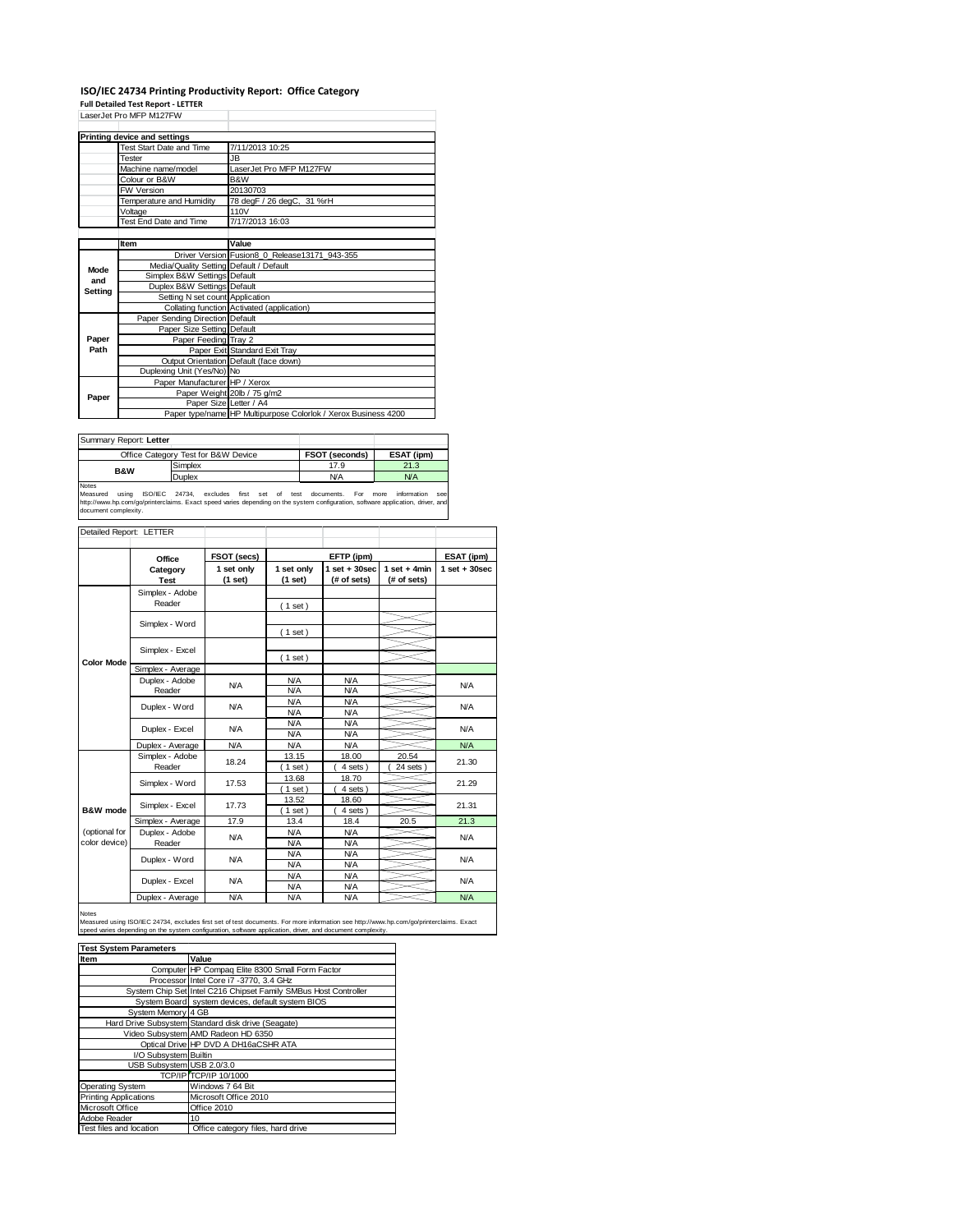## **ISO/IEC 24734 Printing Productivity Report: Office Category**

**Full Detailed Test Report ‐ LETTER** LaserJet Pro MFP M127FW

|         | LaserJet Pro MFP M12/FW                 |                                                                |  |
|---------|-----------------------------------------|----------------------------------------------------------------|--|
|         | Printing device and settings            |                                                                |  |
|         | Test Start Date and Time                | 7/11/2013 10:25                                                |  |
|         | Tester                                  | JB.                                                            |  |
|         | Machine name/model                      | LaserJet Pro MFP M127FW                                        |  |
|         | Colour or B&W                           | B&W                                                            |  |
|         | <b>FW Version</b>                       | 20130703                                                       |  |
|         | Temperature and Humidity                | 78 degF / 26 degC, 31 %rH                                      |  |
|         | Voltage                                 | 110V                                                           |  |
|         | Test End Date and Time                  | 7/17/2013 16:03                                                |  |
|         |                                         |                                                                |  |
|         | Item                                    | Value                                                          |  |
|         |                                         | Driver Version Fusion8 0 Release13171 943-355                  |  |
| Mode    | Media/Quality Setting Default / Default |                                                                |  |
| and     | Simplex B&W Settings Default            |                                                                |  |
| Setting | Duplex B&W Settings Default             |                                                                |  |
|         | Setting N set count Application         |                                                                |  |
|         |                                         | Collating function Activated (application)                     |  |
|         | Paper Sending Direction Default         |                                                                |  |
|         | Paper Size Setting Default              |                                                                |  |
| Paper   | Paper Feeding Tray 2                    |                                                                |  |
| Path    |                                         | Paper Exit Standard Exit Tray                                  |  |
|         |                                         | Output Orientation Default (face down)                         |  |
|         | Duplexing Unit (Yes/No) No              |                                                                |  |
|         | Paper Manufacturer HP / Xerox           |                                                                |  |
| Paper   |                                         | Paper Weight 20lb / 75 g/m2                                    |  |
|         |                                         | Paper Size Letter / A4                                         |  |
|         |                                         | Paper type/name HP Multipurpose Colorlok / Xerox Business 4200 |  |

| Summary Report: Letter |                                     |                       |            |
|------------------------|-------------------------------------|-----------------------|------------|
|                        | Office Category Test for B&W Device | <b>FSOT (seconds)</b> | ESAT (ipm) |
| <b>B&amp;W</b>         | Simplex                             | 17.9                  | 21.3       |
|                        | Duplex                              | <b>N/A</b>            | N/A        |
| Notes                  |                                     |                       |            |

Notes<br>Measured using ISO/IEC 24734, excludes first set of test documents. For more information see<br>http://www.hp.com/go/printerclaims.Exactspeed-varies-depending.on.the.system.configuration,software.application,driver,and<br>

| Detailed Report: LETTER        |                              |                       |                          |                                  |                               |                  |
|--------------------------------|------------------------------|-----------------------|--------------------------|----------------------------------|-------------------------------|------------------|
|                                | Office                       | FSOT (secs)           |                          | EFTP (ipm)                       |                               | ESAT (ipm)       |
|                                | Category<br><b>Test</b>      | 1 set only<br>(1 set) | 1 set only<br>(1 set)    | $1$ set $+30$ sec<br>(# of sets) | $1$ set + 4min<br>(# of sets) | $1 set + 30 sec$ |
|                                | Simplex - Adobe<br>Reader    |                       | (1 set)                  |                                  |                               |                  |
|                                | Simplex - Word               |                       | $1$ set)                 |                                  |                               |                  |
|                                | Simplex - Excel              |                       |                          |                                  |                               |                  |
| <b>Color Mode</b>              | Simplex - Average            |                       | $1$ set)                 |                                  |                               |                  |
|                                | Duplex - Adobe<br>Reader     | N/A                   | <b>N/A</b><br>N/A        | N/A<br>N/A                       |                               | N/A              |
|                                | Duplex - Word                | <b>N/A</b>            | N/A<br>N/A               | <b>N/A</b><br><b>N/A</b>         |                               | N/A              |
|                                | Duplex - Excel<br><b>N/A</b> |                       | <b>N/A</b><br>N/A        | <b>N/A</b><br><b>N/A</b>         |                               | N/A              |
|                                | Duplex - Average             | <b>N/A</b>            | <b>N/A</b>               | <b>N/A</b>                       |                               | N/A              |
|                                | Simplex - Adobe<br>Reader    | 18.24                 | 13.15<br>$1$ set         | 18.00<br>4 sets)                 | 20.54<br>24 sets              | 21.30            |
|                                | Simplex - Word               | 17.53                 | 13.68<br>$1$ set)        | 18.70<br>4 sets)                 |                               | 21.29            |
| B&W mode                       | Simplex - Excel              | 17.73                 | 13.52<br>$1$ set)        | 18.60<br>4 sets)                 |                               | 21.31            |
|                                | Simplex - Average            | 17.9                  | 13.4                     | 18.4                             | 20.5                          | 21.3             |
| (optional for<br>color device) | Duplex - Adobe<br>Reader     | <b>N/A</b>            | <b>N/A</b><br><b>N/A</b> | <b>N/A</b><br><b>N/A</b>         |                               | N/A              |
|                                | Duplex - Word                | N/A                   | <b>N/A</b><br><b>N/A</b> | <b>N/A</b><br><b>N/A</b>         |                               | N/A              |
|                                | Duplex - Excel               | <b>N/A</b>            | <b>N/A</b><br><b>N/A</b> | <b>N/A</b><br><b>N/A</b>         |                               | <b>N/A</b>       |
|                                | Duplex - Average             | N/A                   | N/A                      | N/A                              |                               | N/A              |

Notes

Measured using ISO/IEC 24734, excludes first set of test documents. For more information see http://www.hp.com/go/printerclaims. Exact<br>speed varies depending on the system configuration, software application, driver, and d

| <b>Test System Parameters</b> |                                                                 |  |  |  |  |
|-------------------------------|-----------------------------------------------------------------|--|--|--|--|
| Item                          | Value                                                           |  |  |  |  |
|                               | Computer HP Compaq Elite 8300 Small Form Factor                 |  |  |  |  |
|                               | Processor Intel Core i7 -3770, 3.4 GHz                          |  |  |  |  |
|                               | System Chip Set Intel C216 Chipset Family SMBus Host Controller |  |  |  |  |
|                               | System Board system devices, default system BIOS                |  |  |  |  |
| System Memory 4 GB            |                                                                 |  |  |  |  |
|                               | Hard Drive Subsystem Standard disk drive (Seagate)              |  |  |  |  |
|                               | Video Subsystem AMD Radeon HD 6350                              |  |  |  |  |
|                               | Optical Drive HP DVD A DH16aCSHR ATA                            |  |  |  |  |
| I/O Subsystem Builtin         |                                                                 |  |  |  |  |
| USB Subsystem USB 2.0/3.0     |                                                                 |  |  |  |  |
|                               | <b>TCP/IP TCP/IP 10/1000</b>                                    |  |  |  |  |
| <b>Operating System</b>       | Windows 7 64 Bit                                                |  |  |  |  |
| <b>Printing Applications</b>  | Microsoft Office 2010                                           |  |  |  |  |
| Microsoft Office              | Office 2010                                                     |  |  |  |  |
| Adobe Reader                  | 10                                                              |  |  |  |  |
| Test files and location       | Office category files, hard drive                               |  |  |  |  |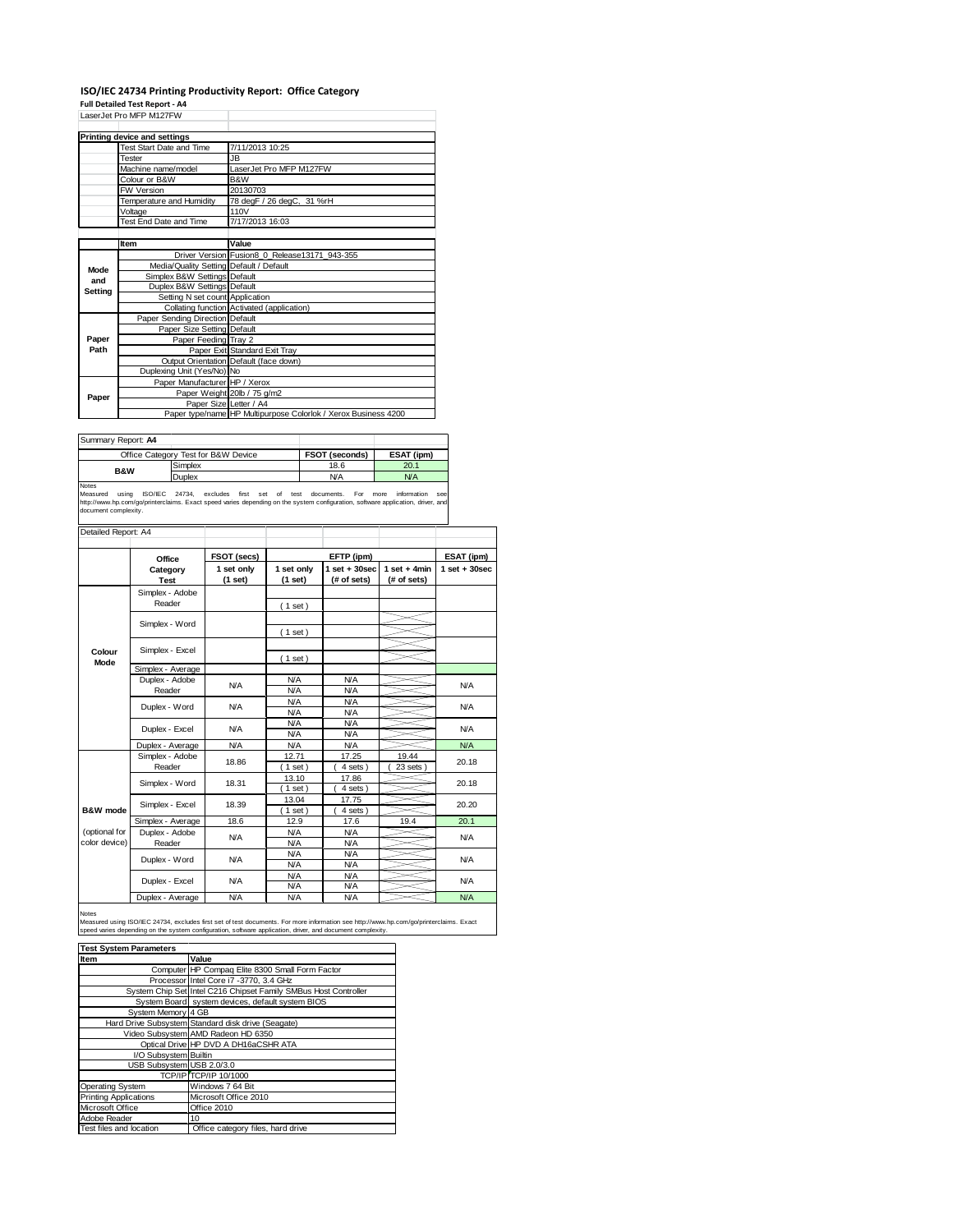## **ISO/IEC 24734 Printing Productivity Report: Office Category**

**Full Detailed Test Report ‐ A4** LaserJet Pro MFP M127FW

|         | LaserJet Pro MFP M12/FW                 |                                                                |
|---------|-----------------------------------------|----------------------------------------------------------------|
|         | Printing device and settings            |                                                                |
|         | Test Start Date and Time                | 7/11/2013 10:25                                                |
|         | Tester                                  | JB.                                                            |
|         | Machine name/model                      | LaserJet Pro MFP M127FW                                        |
|         | Colour or B&W                           | B&W                                                            |
|         | <b>FW Version</b>                       | 20130703                                                       |
|         | Temperature and Humidity                | 78 degF / 26 degC, 31 %rH                                      |
|         | Voltage                                 | 110V                                                           |
|         | Test End Date and Time                  | 7/17/2013 16:03                                                |
|         |                                         |                                                                |
|         | Item                                    | Value                                                          |
|         |                                         | Driver Version Fusion8 0 Release13171 943-355                  |
| Mode    | Media/Quality Setting Default / Default |                                                                |
| and     | Simplex B&W Settings Default            |                                                                |
| Setting | Duplex B&W Settings Default             |                                                                |
|         | Setting N set count Application         |                                                                |
|         |                                         | Collating function Activated (application)                     |
|         | Paper Sending Direction Default         |                                                                |
|         | Paper Size Setting Default              |                                                                |
| Paper   | Paper Feeding Tray 2                    |                                                                |
| Path    |                                         | Paper Exit Standard Exit Tray                                  |
|         |                                         | Output Orientation Default (face down)                         |
|         | Duplexing Unit (Yes/No) No              |                                                                |
|         | Paper Manufacturer HP / Xerox           |                                                                |
| Paper   |                                         | Paper Weight 20lb / 75 g/m2                                    |
|         | Paper Size Letter / A4                  |                                                                |
|         |                                         | Paper type/name HP Multipurpose Colorlok / Xerox Business 4200 |

| Summary Report: A4 |                                     |                |            |
|--------------------|-------------------------------------|----------------|------------|
|                    | Office Category Test for B&W Device | FSOT (seconds) | ESAT (ipm) |
| <b>B&amp;W</b>     | Simplex                             | 18.6           | 20.1       |
|                    | Duplex                              | <b>N/A</b>     | <b>N/A</b> |
| $k + 1 - 2 - 1$    |                                     |                |            |

Notes<br>Measured using ISO/IEC 24734, excludes first set of test documents. For more information see<br>http://www.hp.com/go/printerclaims.Exactspeed-varies-depending.on-the-system-configuration,software-application,driver,and<br>

| Detailed Report: A4 |                   |             |                     |                   |                |                  |  |
|---------------------|-------------------|-------------|---------------------|-------------------|----------------|------------------|--|
|                     |                   |             |                     |                   |                |                  |  |
|                     | Office            | FSOT (secs) |                     | EFTP (ipm)        |                | ESAT (ipm)       |  |
|                     | Category          | 1 set only  | 1 set only          | $1$ set $+30$ sec | $1$ set + 4min | $1 set + 30 sec$ |  |
|                     | <b>Test</b>       | (1 set)     | (1 set)             | (# of sets)       | (# of sets)    |                  |  |
|                     | Simplex - Adobe   |             |                     |                   |                |                  |  |
|                     | Reader            |             | (1 set)             |                   |                |                  |  |
|                     |                   |             |                     |                   |                |                  |  |
|                     | Simplex - Word    |             | $1$ set)            |                   |                |                  |  |
|                     |                   |             |                     |                   |                |                  |  |
| Colour              | Simplex - Excel   |             | $1$ set)            |                   |                |                  |  |
| Mode                | Simplex - Average |             |                     |                   |                |                  |  |
|                     | Duplex - Adobe    |             | <b>N/A</b>          | <b>N/A</b>        |                |                  |  |
|                     | Reader            | N/A         | N/A                 | N/A               |                | N/A              |  |
|                     | Duplex - Word     |             | N/A                 | <b>N/A</b>        |                | N/A              |  |
|                     |                   | <b>N/A</b>  | N/A                 | N/A               |                |                  |  |
|                     | Duplex - Excel    | <b>N/A</b>  | N/A                 | N/A               |                | N/A              |  |
|                     |                   |             | <b>N/A</b>          | N/A               |                |                  |  |
|                     | Duplex - Average  | <b>N/A</b>  | <b>N/A</b><br>12.71 | N/A               |                | <b>N/A</b>       |  |
|                     | Simplex - Adobe   | 18.86       |                     | 17.25             | 19.44          | 20.18            |  |
|                     | Reader            |             | $1$ set)            | 4 sets            | 23 sets        |                  |  |
|                     | Simplex - Word    | 18.31       | 13.10               | 17.86             |                | 20.18            |  |
|                     |                   |             | $1$ set)            | 4 sets)           |                |                  |  |
|                     | Simplex - Excel   | 18.39       | 13.04               | 17.75             |                | 20.20            |  |
| B&W mode            |                   |             | $1$ set)            | 4 sets)           |                |                  |  |
|                     | Simplex - Average | 18.6        | 12.9                | 17.6              | 19.4           | 20.1             |  |
| (optional for       | Duplex - Adobe    | <b>N/A</b>  | <b>N/A</b>          | <b>N/A</b>        |                | N/A              |  |
| color device)       | Reader            |             | <b>N/A</b>          | N/A               |                |                  |  |
|                     | Duplex - Word     | <b>N/A</b>  | N/A                 | <b>N/A</b>        |                | N/A              |  |
|                     |                   |             | N/A                 | N/A               |                |                  |  |
|                     | Duplex - Excel    | <b>N/A</b>  | <b>N/A</b>          | <b>N/A</b>        |                | N/A              |  |
|                     |                   |             | <b>N/A</b>          | <b>N/A</b>        |                |                  |  |
|                     | Duplex - Average  | N/A         | N/A                 | N/A               |                | N/A              |  |

Notes<br>Measured using ISO/IEC 24734, excludes first set of test documents. For more information see http://www.hp.com/go/printerclaims. Exact<br>speed varies depending on the system configuration, software application, driver,

| <b>Test System Parameters</b> |                                                                 |  |  |  |
|-------------------------------|-----------------------------------------------------------------|--|--|--|
| Item                          | Value                                                           |  |  |  |
|                               | Computer HP Compaq Elite 8300 Small Form Factor                 |  |  |  |
|                               | Processor Intel Core i7 -3770, 3.4 GHz                          |  |  |  |
|                               | System Chip Set Intel C216 Chipset Family SMBus Host Controller |  |  |  |
|                               | System Board system devices, default system BIOS                |  |  |  |
| System Memory 4 GB            |                                                                 |  |  |  |
|                               | Hard Drive Subsystem Standard disk drive (Seagate)              |  |  |  |
|                               | Video Subsystem AMD Radeon HD 6350                              |  |  |  |
|                               | Optical Drive HP DVD A DH16aCSHR ATA                            |  |  |  |
| I/O Subsystem Builtin         |                                                                 |  |  |  |
| USB Subsystem USB 2.0/3.0     |                                                                 |  |  |  |
|                               | TCP/IP TCP/IP 10/1000                                           |  |  |  |
| <b>Operating System</b>       | Windows 7 64 Bit                                                |  |  |  |
| <b>Printing Applications</b>  | Microsoft Office 2010                                           |  |  |  |
| Microsoft Office              | Office 2010                                                     |  |  |  |
| Adobe Reader                  | 10                                                              |  |  |  |
| Test files and location       | Office category files, hard drive                               |  |  |  |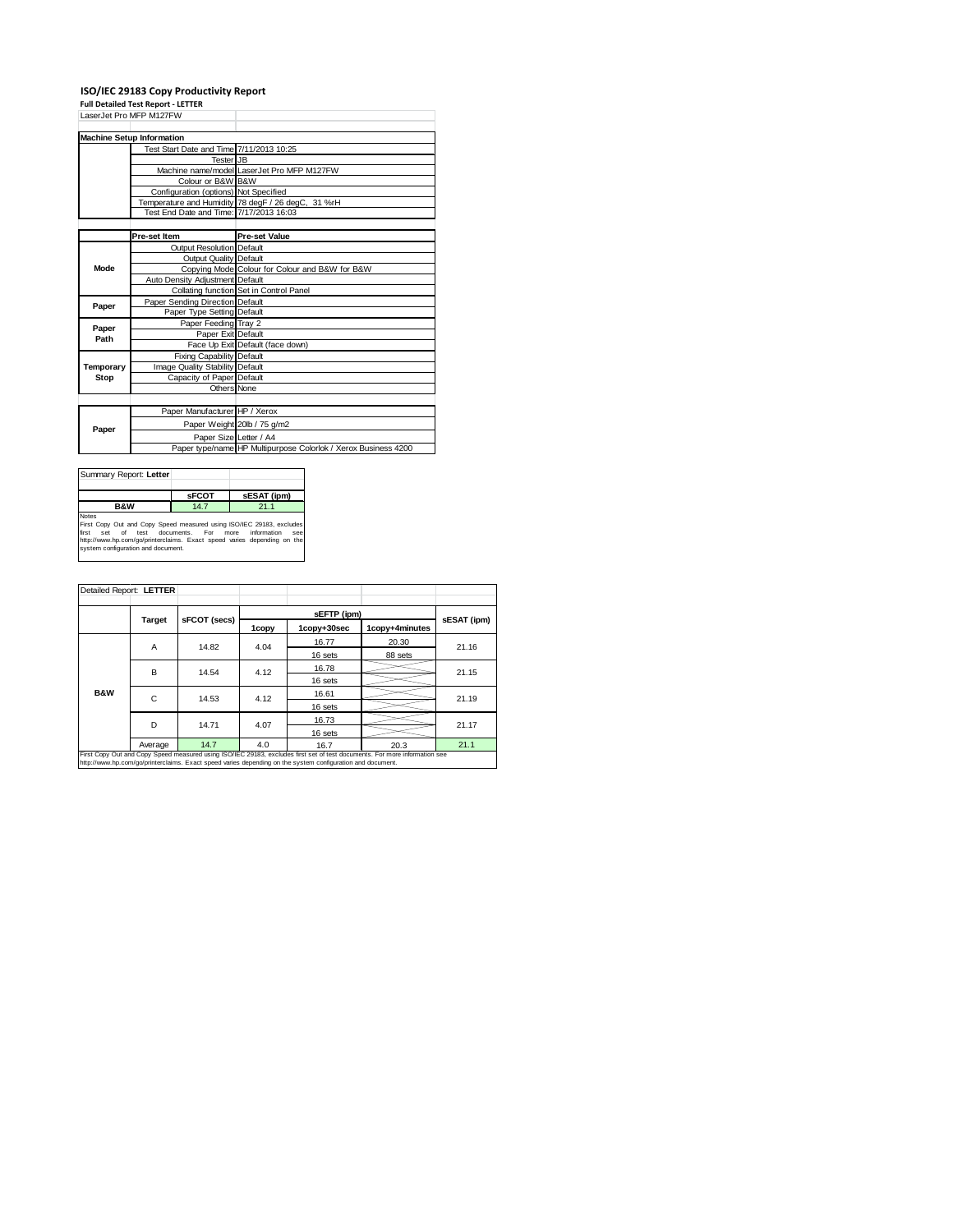## **ISO/IEC 29183 Copy Productivity Report Full Detailed Test Report ‐ LETTER**

| rull Detailed Test Report - LETTER |                                          |                                                                |  |  |
|------------------------------------|------------------------------------------|----------------------------------------------------------------|--|--|
| LaserJet Pro MFP M127FW            |                                          |                                                                |  |  |
|                                    |                                          |                                                                |  |  |
|                                    | <b>Machine Setup Information</b>         |                                                                |  |  |
|                                    | Test Start Date and Time 7/11/2013 10:25 |                                                                |  |  |
|                                    | Tester JB                                |                                                                |  |  |
|                                    |                                          | Machine name/model LaserJet Pro MFP M127FW                     |  |  |
|                                    | Colour or B&W B&W                        |                                                                |  |  |
|                                    | Configuration (options) Not Specified    |                                                                |  |  |
|                                    |                                          | Temperature and Humidity 78 degF / 26 degC, 31 %rH             |  |  |
|                                    | Test End Date and Time: 7/17/2013 16:03  |                                                                |  |  |
|                                    |                                          |                                                                |  |  |
|                                    | Pre-set Item                             | <b>Pre-set Value</b>                                           |  |  |
|                                    | Output Resolution Default                |                                                                |  |  |
|                                    | <b>Output Quality Default</b>            |                                                                |  |  |
| Mode                               |                                          | Copying Mode Colour for Colour and B&W for B&W                 |  |  |
|                                    | Auto Density Adjustment Default          |                                                                |  |  |
|                                    |                                          | Collating function Set in Control Panel                        |  |  |
| Paper                              | Paper Sending Direction Default          |                                                                |  |  |
|                                    | Paper Type Setting Default               |                                                                |  |  |
|                                    | Paper Feeding Tray 2                     |                                                                |  |  |
| Paper<br>Path                      | Paper Exit Default                       |                                                                |  |  |
|                                    |                                          | Face Up Exit Default (face down)                               |  |  |
|                                    | Fixing Capability Default                |                                                                |  |  |
| Temporary                          | Image Quality Stability Default          |                                                                |  |  |
| Stop                               | Capacity of Paper Default                |                                                                |  |  |
|                                    | <b>Others None</b>                       |                                                                |  |  |
|                                    |                                          |                                                                |  |  |
|                                    | Paper Manufacturer HP / Xerox            |                                                                |  |  |
| Paper                              |                                          | Paper Weight 20lb / 75 g/m2                                    |  |  |
|                                    | Paper Size Letter / A4                   |                                                                |  |  |
|                                    |                                          | Paper type/name HP Multipurpose Colorlok / Xerox Business 4200 |  |  |

| Summary Report: Letter                                                                                                                                                                                                                                                           |              |             |  |  |
|----------------------------------------------------------------------------------------------------------------------------------------------------------------------------------------------------------------------------------------------------------------------------------|--------------|-------------|--|--|
|                                                                                                                                                                                                                                                                                  | <b>SFCOT</b> | sESAT (ipm) |  |  |
| B&W                                                                                                                                                                                                                                                                              | 14.7         | 21.1        |  |  |
| <b>Notes</b><br>First Copy Out and Copy Speed measured using ISO/IEC 29183, excludes<br>information<br>test documents. For<br>first<br>of<br>more<br>Set<br>see<br>http://www.hp.com/go/printerclaims. Exact speed varies depending on the<br>system configuration and document. |              |             |  |  |

| Detailed Report: LETTER                                                                                                    |               |              |       |             |                |             |
|----------------------------------------------------------------------------------------------------------------------------|---------------|--------------|-------|-------------|----------------|-------------|
|                                                                                                                            |               |              |       | sEFTP (ipm) |                |             |
|                                                                                                                            | <b>Target</b> | sFCOT (secs) | 1copy | 1copy+30sec | 1copy+4minutes | sESAT (ipm) |
|                                                                                                                            | Α             | 14.82        | 4.04  | 16.77       | 20.30          | 21.16       |
|                                                                                                                            |               |              |       | 16 sets     | 88 sets        |             |
|                                                                                                                            | В             | 14.54        | 4.12  | 16.78       |                | 21.15       |
|                                                                                                                            |               |              |       | 16 sets     |                |             |
| <b>B&amp;W</b>                                                                                                             | С             | 14.53        | 4.12  | 16.61       |                | 21.19       |
|                                                                                                                            |               |              |       | 16 sets     |                |             |
|                                                                                                                            | D             | 14.71        | 4.07  | 16.73       |                | 21.17       |
|                                                                                                                            |               |              |       | 16 sets     |                |             |
|                                                                                                                            | Average       | 14.7         | 4.0   | 16.7        | 20.3           | 21.1        |
| First Copy Out and Copy Speed measured using ISO/IEC 29183, excludes first set of test documents. For more information see |               |              |       |             |                |             |

First Copy Out and Copy Speed measured using ISO/IEC 29183, excludes first set of test documents. For more information see<br>http://www.hp.com/go/printerclaims. Exact speed varies depending on the system configuration and do